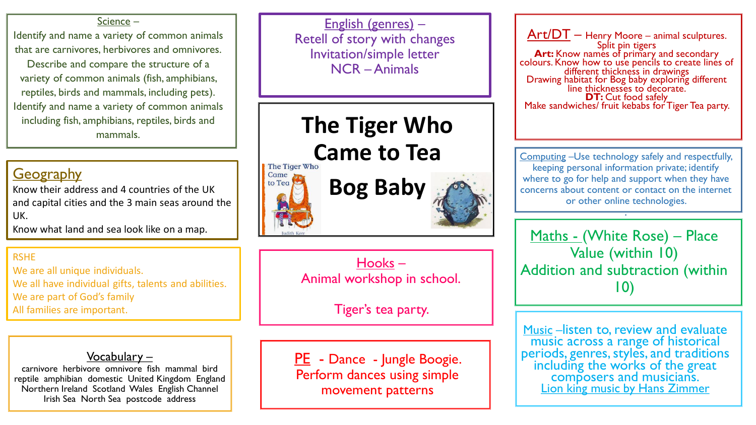#### Science –

Identify and name a variety of common animals that are carnivores, herbivores and omnivores.

Describe and compare the structure of a variety of common animals (fish, amphibians, reptiles, birds and mammals, including pets). Identify and name a variety of common animals including fish, amphibians, reptiles, birds and

## **Geography**

Know their address and 4 countries of the UK and capital cities and the 3 main seas around the UK.

Know what land and sea look like on a map.

### RSHE

We are all unique individuals. We all have individual gifts, talents and abilities. We are part of God's family All families are important.

Vocabulary –

carnivore herbivore omnivore fish mammal bird reptile amphibian domestic United Kingdom England Northern Ireland Scotland Wales English Channel Irish Sea North Sea postcode address

English (genres) – Retell of story with changes Invitation/simple letter NCR –Animals

mammals. **The Tiger Who** 

**Came to Tea** 





Hooks – Animal workshop in school.

Tiger's tea party.

PE - Dance - Jungle Boogie. Perform dances using simple movement patterns

Art/DT – Henry Moore – animal sculptures. Split pin tigers **Art:** Know names of primary and secondary colours. Know how to use pencils to create lines of different thickness in drawings Drawing habitat for Bog baby exploring different line thicknesses to decorate. **DT:** Cut food safely Make sandwiches/ fruit kebabs for Tiger Tea party.

Computing –Use technology safely and respectfully, keeping personal information private; identify where to go for help and support when they have concerns about content or contact on the internet or other online technologies. .

Maths - (White Rose) – Place Value (within 10) Addition and subtraction (within 10)

Music –listen to, review and evaluate music across a range of historical periods, genres, styles, and traditions including the works of the great composers and musicians. Lion king music by Hans Zimmer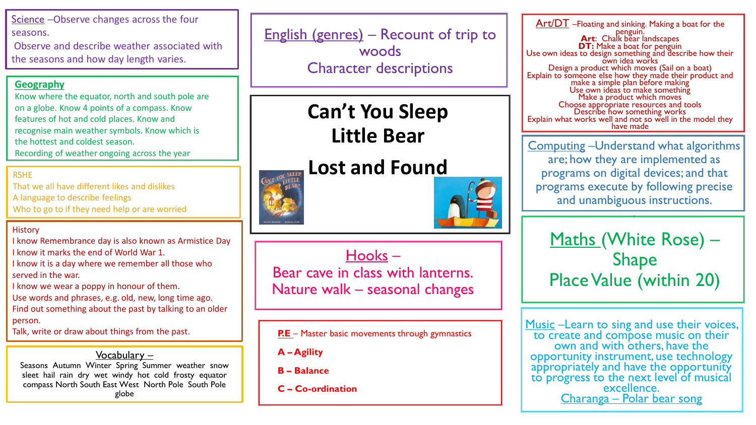Science -Observe changes across the four seasons.

Observe and describe weather associated with the seasons and how day length varies.

### **Geography**

Know where the equator, north and south pole are on a globe. Know 4 points of a compass. Know features of hot and cold places. Know and recognise main weather symbols. Know which is the hottest and coldest season. Recording of weather ongoing across the year

### RSHE

That we all have different likes and dislikes A language to describe feelings Who to go to if they need help or are worried

### **History**

I know Remembrance day is also known as Armistice Day I know it marks the end of World War 1.

I know it is a day where we remember all those who served in the war.

I know we wear a poppy in honour of them.

Use words and phrases, e.g. old, new, long time ago. Find out something about the past by talking to an older person.

Talk, write or draw about things from the past.

### Vocabulary –

Seasons Autumn Winter Spring Summer weather snow sleet hail rain dry wet windy hot cold frosty equator compass North South East West North Pole South Pole globe

English (genres) – Recount of trip to woods Character descriptions

> **Can't You Sleep Little Bear**

## **Lost and Found**



Hooks – Bear cave in class with lanterns. Nature walk – seasonal changes

### **P.E** – Master basic movements through gymnastics

**A – Agility**

**B – Balance**

**C – Co-ordination**

Art/DT -Floating and sinking. Making a boat for the penguin. **Art**: Chalk bear landscapes **DT:** Make a boat for penguin Use own ideas to design something and describe how their own idea works Design a product which moves (Sail on a boat) Explain to someone else how they made their product and make a simple plan before making Use own ideas to make something Make a product which moves Choose appropriate resources and tools Describe how something works Explain what works well and not so well in the model they have made

Computing –Understand what algorithms are; how they are implemented as programs on digital devices; and that programs execute by following precise and unambiguous instructions.

.

Maths (White Rose) – Shape Place Value (within 20)

Music – Learn to sing and use their voices, to create and compose music on their own and with others, have the opportunity instrument, use technology appropriately and have the opportunity to progress to the next level of musical excellence. Charanga – Polar bear song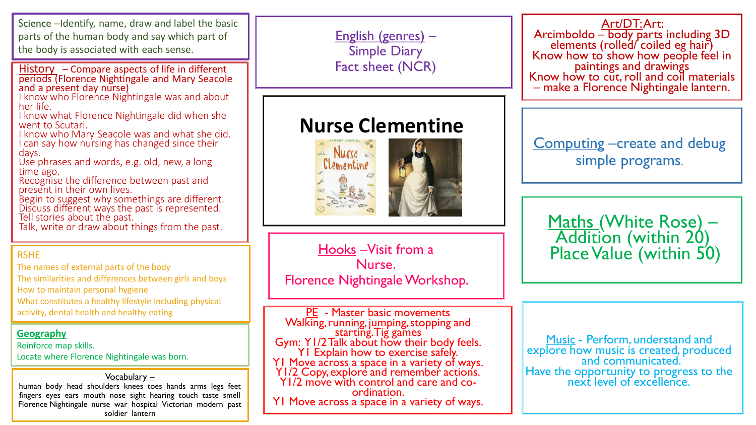Science –Identify, name, draw and label the basic parts of the human body and say which part of the body is associated with each sense.

History – Compare aspects of life in different periods (Florence Nightingale and Mary Seacole and a present day nurse)

I know who Florence Nightingale was and about her life.

I know what Florence Nightingale did when she went to Scutari.

I know who Mary Seacole was and what she did. I can say how nursing has changed since their days.

Use phrases and words, e.g. old, new, a long time ago.

Recognise the difference between past and present in their own lives.

Begin to suggest why somethings are different. Discuss different ways the past is represented. Tell stories about the past.

Talk, write or draw about things from the past.

### RSHE

The names of external parts of the body The similarities and differences between girls and boys How to maintain personal hygiene What constitutes a healthy lifestyle including physical activity, dental health and healthy eating

### **Geography**

Reinforce map skills.

Locate where Florence Nightingale was born.

Vocabulary  $$ human body head shoulders knees toes hands arms legs feet fingers eyes ears mouth nose sight hearing touch taste smell Florence Nightingale nurse war hospital Victorian modern past soldier lantern

English (genres) – Simple Diary Fact sheet (NCR)

## **Nurse Clementine**



Nurse. Florence Nightingale Workshop.

PE - Master basic movements Walking, running, jumping, stopping and starting. Tig games Gym: Y1/2 Talk about how their body feels. Y1 Explain how to exercise safely. Y1 Move across a space in a variety of ways. Y1/2 Copy, explore and remember actions. Y1/2 move with control and care and coordination. Y1 Move across a space in a variety of ways. Art/DT: Art:

Arcimboldo – body parts including 3D elements (rolled/ coiled eg hair) Know how to show how people feel in paintings and drawings Know how to cut, roll and coil materials – make a Florence Nightingale lantern.

Computing –create and debug simple programs.

Maths (White Rose) -Addition (within 20) Hooks –Visit from a Figure 1 Place Value (within 50)

> Music - Perform, understand and explore how music is created, produced and communicated. Have the opportunity to progress to the next level of excellence.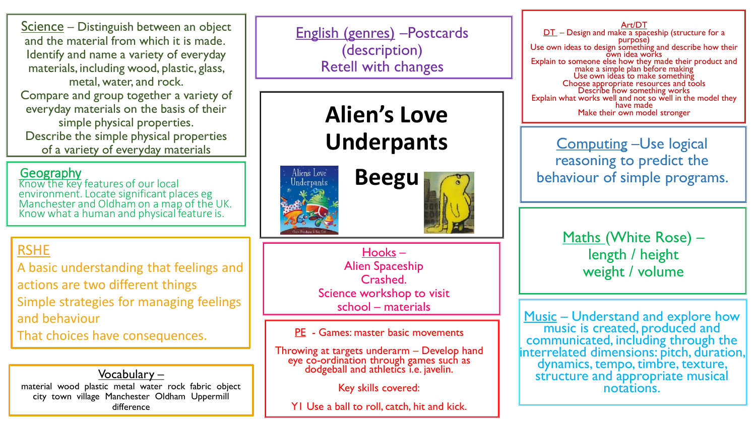Science – Distinguish between an object and the material from which it is made. Identify and name a variety of everyday materials, including wood, plastic, glass, metal, water, and rock. Compare and group together a variety of everyday materials on the basis of their simple physical properties. Describe the simple physical properties of a variety of everyday materials

### Geography

Know the key features of our local environment. Locate significant places eg Manchester and Oldham on a map of the UK. Know what a human and physical feature is.

## RSHE

A basic understanding that feelings and actions are two different things Simple strategies for managing feelings and behaviour

That choices have consequences.

Vocabulary – material wood plastic metal water rock fabric object city town village Manchester Oldham Uppermill difference

English (genres) –Postcards (description) Retell with changes

# **Alien's Love Underpants**





Hooks – Alien Spaceship Crashed. Science workshop to visit school – materials

PE - Games: master basic movements

Throwing at targets underarm – Develop hand eye co-ordination through games such as dodgeball and athletics i.e. javelin.

Key skills covered:

Y1 Use a ball to roll, catch, hit and kick.

Art/DT DT – Design and make a spaceship (structure for a purpose) Use own ideas to design something and describe how their own idea works Explain to someone else how they made their product and make a simple plan before making Use own ideas to make something Choose appropriate resources and tools Describe how something works Explain what works well and not so well in the model they have made Make their own model stronger

Computing –Use logical reasoning to predict the behaviour of simple programs.

> Maths (White Rose) length / height weight / volume

Music – Understand and explore how music is created, produced and communicated, including through the interrelated dimensions: pitch, duration, dynamics, tempo, timbre, texture, structure and appropriate musical notations.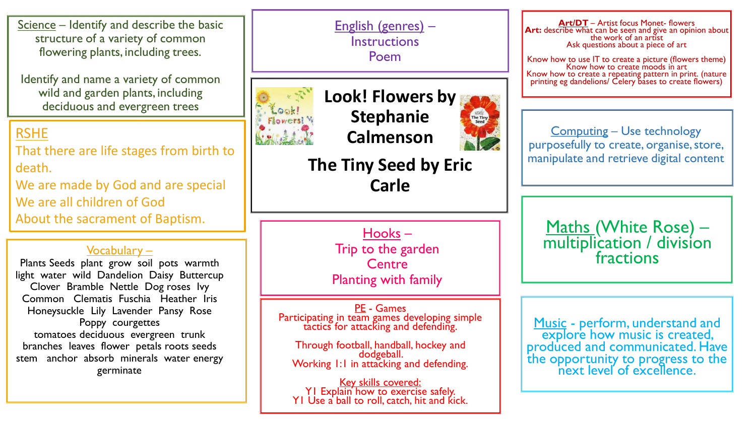Science – Identify and describe the basic structure of a variety of common flowering plants, including trees.

Identify and name a variety of common wild and garden plants, including deciduous and evergreen trees

### RSHE

That there are life stages from birth to death.

We are made by God and are special We are all children of God About the sacrament of Baptism.

### Vocabulary –

Plants Seeds plant grow soil pots warmth light water wild Dandelion Daisy Buttercup Clover Bramble Nettle Dog roses Ivy Common Clematis Fuschia Heather Iris Honeysuckle Lily Lavender Pansy Rose Poppy courgettes tomatoes deciduous evergreen trunk branches leaves flower petals roots seeds stem anchor absorb minerals water energy germinate

English (genres) – **Instructions** Poem



**Look! Flowers by Stephanie Calmenson**



**The Tiny Seed by Eric Carle** 

> Hooks – Trip to the garden **Centre** Planting with family

PE - Games Participating in team games developing simple tactics for attacking and defending.

Through football, handball, hockey and dodgeball. Working 1:1 in attacking and defending.

Key skills covered: Y1 Explain how to exercise safely. Y1 Use a ball to roll, catch, hit and kick.

**Art/DT** – Artist focus Monet- flowers Art: describe what can be seen and give an opinion about the work of an artist Ask questions about a piece of art

Know how to use IT to create a picture (flowers theme) Know how to create moods in art Know how to create a repeating pattern in print. (nature printing eg dandelions/ Celery bases to create flowers)

Computing – Use technology purposefully to create, organise, store, manipulate and retrieve digital content

Maths (White Rose) – multiplication / division fractions

Music - perform, understand and explore how music is created, produced and communicated. Have the opportunity to progress to the next level of excellence.